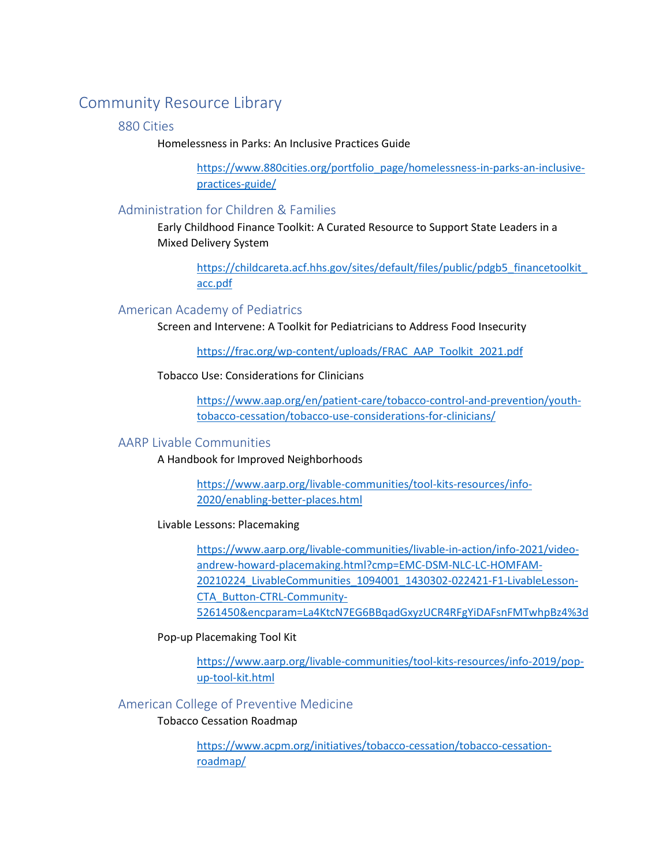# Community Resource Library

### 880 Cities

Homelessness in Parks: An Inclusive Practices Guide

[https://www.880cities.org/portfolio\\_page/homelessness-in-parks-an-inclusive](https://www.880cities.org/portfolio_page/homelessness-in-parks-an-inclusive-practices-guide/)[practices-guide/](https://www.880cities.org/portfolio_page/homelessness-in-parks-an-inclusive-practices-guide/)

### Administration for Children & Families

Early Childhood Finance Toolkit: A Curated Resource to Support State Leaders in a Mixed Delivery System

[https://childcareta.acf.hhs.gov/sites/default/files/public/pdgb5\\_financetoolkit\\_](https://childcareta.acf.hhs.gov/sites/default/files/public/pdgb5_financetoolkit_acc.pdf) [acc.pdf](https://childcareta.acf.hhs.gov/sites/default/files/public/pdgb5_financetoolkit_acc.pdf)

### American Academy of Pediatrics

Screen and Intervene: A Toolkit for Pediatricians to Address Food Insecurity

[https://frac.org/wp-content/uploads/FRAC\\_AAP\\_Toolkit\\_2021.pdf](https://frac.org/wp-content/uploads/FRAC_AAP_Toolkit_2021.pdf)

Tobacco Use: Considerations for Clinicians

[https://www.aap.org/en/patient-care/tobacco-control-and-prevention/youth](https://www.aap.org/en/patient-care/tobacco-control-and-prevention/youth-tobacco-cessation/tobacco-use-considerations-for-clinicians/)[tobacco-cessation/tobacco-use-considerations-for-clinicians/](https://www.aap.org/en/patient-care/tobacco-control-and-prevention/youth-tobacco-cessation/tobacco-use-considerations-for-clinicians/)

### AARP Livable Communities

A Handbook for Improved Neighborhoods

[https://www.aarp.org/livable-communities/tool-kits-resources/info-](https://www.aarp.org/livable-communities/tool-kits-resources/info-2020/enabling-better-places.html)[2020/enabling-better-places.html](https://www.aarp.org/livable-communities/tool-kits-resources/info-2020/enabling-better-places.html)

Livable Lessons: Placemaking

[https://www.aarp.org/livable-communities/livable-in-action/info-2021/video](https://www.aarp.org/livable-communities/livable-in-action/info-2021/video-andrew-howard-placemaking.html?cmp=EMC-DSM-NLC-LC-HOMFAM-20210224_LivableCommunities_1094001_1430302-022421-F1-LivableLesson-CTA_Button-CTRL-Community-5261450&encparam=La4KtcN7EG6BBqadGxyzUCR4RFgYiDAFsnFMTwhpBz4%3d)[andrew-howard-placemaking.html?cmp=EMC-DSM-NLC-LC-HOMFAM-](https://www.aarp.org/livable-communities/livable-in-action/info-2021/video-andrew-howard-placemaking.html?cmp=EMC-DSM-NLC-LC-HOMFAM-20210224_LivableCommunities_1094001_1430302-022421-F1-LivableLesson-CTA_Button-CTRL-Community-5261450&encparam=La4KtcN7EG6BBqadGxyzUCR4RFgYiDAFsnFMTwhpBz4%3d)[20210224\\_LivableCommunities\\_1094001\\_1430302-022421-F1-LivableLesson-](https://www.aarp.org/livable-communities/livable-in-action/info-2021/video-andrew-howard-placemaking.html?cmp=EMC-DSM-NLC-LC-HOMFAM-20210224_LivableCommunities_1094001_1430302-022421-F1-LivableLesson-CTA_Button-CTRL-Community-5261450&encparam=La4KtcN7EG6BBqadGxyzUCR4RFgYiDAFsnFMTwhpBz4%3d)[CTA\\_Button-CTRL-Community-](https://www.aarp.org/livable-communities/livable-in-action/info-2021/video-andrew-howard-placemaking.html?cmp=EMC-DSM-NLC-LC-HOMFAM-20210224_LivableCommunities_1094001_1430302-022421-F1-LivableLesson-CTA_Button-CTRL-Community-5261450&encparam=La4KtcN7EG6BBqadGxyzUCR4RFgYiDAFsnFMTwhpBz4%3d)[5261450&encparam=La4KtcN7EG6BBqadGxyzUCR4RFgYiDAFsnFMTwhpBz4%3d](https://www.aarp.org/livable-communities/livable-in-action/info-2021/video-andrew-howard-placemaking.html?cmp=EMC-DSM-NLC-LC-HOMFAM-20210224_LivableCommunities_1094001_1430302-022421-F1-LivableLesson-CTA_Button-CTRL-Community-5261450&encparam=La4KtcN7EG6BBqadGxyzUCR4RFgYiDAFsnFMTwhpBz4%3d)

Pop-up Placemaking Tool Kit

[https://www.aarp.org/livable-communities/tool-kits-resources/info-2019/pop](https://www.aarp.org/livable-communities/tool-kits-resources/info-2019/pop-up-tool-kit.html)[up-tool-kit.html](https://www.aarp.org/livable-communities/tool-kits-resources/info-2019/pop-up-tool-kit.html)

### American College of Preventive Medicine

### Tobacco Cessation Roadmap

[https://www.acpm.org/initiatives/tobacco-cessation/tobacco-cessation](https://www.acpm.org/initiatives/tobacco-cessation/tobacco-cessation-roadmap/)[roadmap/](https://www.acpm.org/initiatives/tobacco-cessation/tobacco-cessation-roadmap/)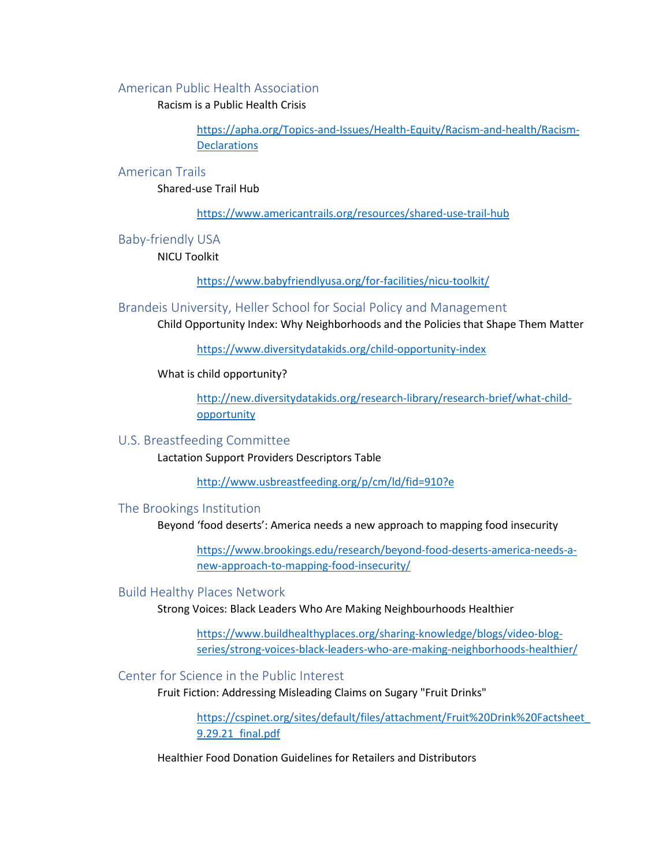### American Public Health Association

Racism is a Public Health Crisis

[https://apha.org/Topics-and-Issues/Health-Equity/Racism-and-health/Racism-](https://apha.org/Topics-and-Issues/Health-Equity/Racism-and-health/Racism-Declarations)**[Declarations](https://apha.org/Topics-and-Issues/Health-Equity/Racism-and-health/Racism-Declarations)** 

### American Trails

Shared-use Trail Hub

<https://www.americantrails.org/resources/shared-use-trail-hub>

Baby-friendly USA

NICU Toolkit

<https://www.babyfriendlyusa.org/for-facilities/nicu-toolkit/>

Brandeis University, Heller School for Social Policy and Management

Child Opportunity Index: Why Neighborhoods and the Policies that Shape Them Matter

<https://www.diversitydatakids.org/child-opportunity-index>

What is child opportunity?

[http://new.diversitydatakids.org/research-library/research-brief/what-child](http://new.diversitydatakids.org/research-library/research-brief/what-child-opportunity)[opportunity](http://new.diversitydatakids.org/research-library/research-brief/what-child-opportunity)

#### U.S. Breastfeeding Committee

Lactation Support Providers Descriptors Table

<http://www.usbreastfeeding.org/p/cm/ld/fid=910?e>

#### The Brookings Institution

Beyond 'food deserts': America needs a new approach to mapping food insecurity

[https://www.brookings.edu/research/beyond-food-deserts-america-needs-a](https://www.brookings.edu/research/beyond-food-deserts-america-needs-a-new-approach-to-mapping-food-insecurity/)[new-approach-to-mapping-food-insecurity/](https://www.brookings.edu/research/beyond-food-deserts-america-needs-a-new-approach-to-mapping-food-insecurity/)

### Build Healthy Places Network

Strong Voices: Black Leaders Who Are Making Neighbourhoods Healthier

[https://www.buildhealthyplaces.org/sharing-knowledge/blogs/video-blog](https://www.buildhealthyplaces.org/sharing-knowledge/blogs/video-blog-series/strong-voices-black-leaders-who-are-making-neighborhoods-healthier/)[series/strong-voices-black-leaders-who-are-making-neighborhoods-healthier/](https://www.buildhealthyplaces.org/sharing-knowledge/blogs/video-blog-series/strong-voices-black-leaders-who-are-making-neighborhoods-healthier/)

# Center for Science in the Public Interest

Fruit Fiction: Addressing Misleading Claims on Sugary "Fruit Drinks"

[https://cspinet.org/sites/default/files/attachment/Fruit%20Drink%20Factsheet\\_](https://cspinet.org/sites/default/files/attachment/Fruit%20Drink%20Factsheet_9.29.21_final.pdf) [9.29.21\\_final.pdf](https://cspinet.org/sites/default/files/attachment/Fruit%20Drink%20Factsheet_9.29.21_final.pdf)

Healthier Food Donation Guidelines for Retailers and Distributors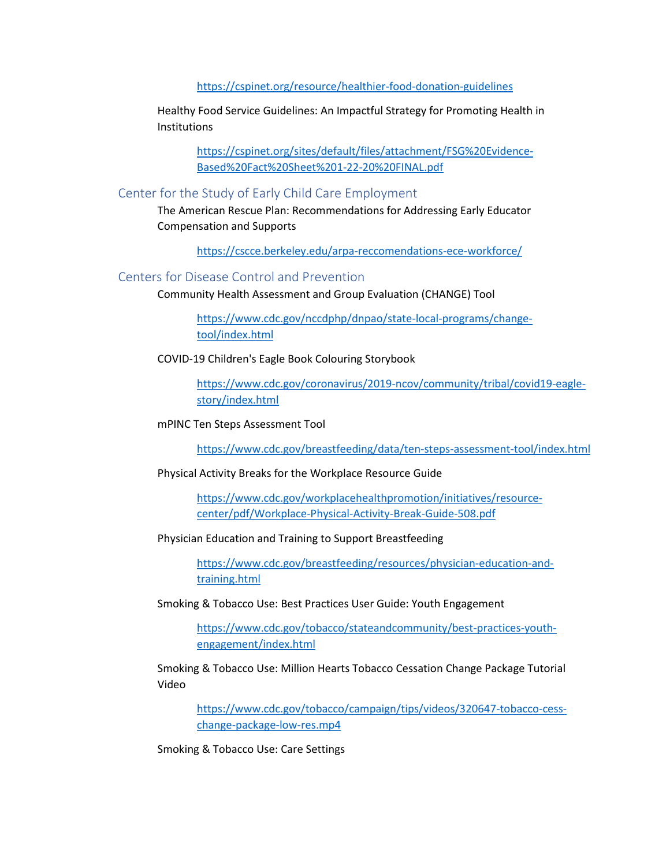#### <https://cspinet.org/resource/healthier-food-donation-guidelines>

Healthy Food Service Guidelines: An Impactful Strategy for Promoting Health in Institutions

> [https://cspinet.org/sites/default/files/attachment/FSG%20Evidence-](https://cspinet.org/sites/default/files/attachment/FSG%20Evidence-Based%20Fact%20Sheet%201-22-20%20FINAL.pdf)[Based%20Fact%20Sheet%201-22-20%20FINAL.pdf](https://cspinet.org/sites/default/files/attachment/FSG%20Evidence-Based%20Fact%20Sheet%201-22-20%20FINAL.pdf)

### Center for the Study of Early Child Care Employment

The American Rescue Plan: Recommendations for Addressing Early Educator Compensation and Supports

<https://cscce.berkeley.edu/arpa-reccomendations-ece-workforce/>

### Centers for Disease Control and Prevention

Community Health Assessment and Group Evaluation (CHANGE) Tool

[https://www.cdc.gov/nccdphp/dnpao/state-local-programs/change](https://www.cdc.gov/nccdphp/dnpao/state-local-programs/change-tool/index.html)[tool/index.html](https://www.cdc.gov/nccdphp/dnpao/state-local-programs/change-tool/index.html)

### COVID-19 Children's Eagle Book Colouring Storybook

[https://www.cdc.gov/coronavirus/2019-ncov/community/tribal/covid19-eagle](https://www.cdc.gov/coronavirus/2019-ncov/community/tribal/covid19-eagle-story/index.html)[story/index.html](https://www.cdc.gov/coronavirus/2019-ncov/community/tribal/covid19-eagle-story/index.html)

#### mPINC Ten Steps Assessment Tool

<https://www.cdc.gov/breastfeeding/data/ten-steps-assessment-tool/index.html>

#### Physical Activity Breaks for the Workplace Resource Guide

[https://www.cdc.gov/workplacehealthpromotion/initiatives/resource](https://www.cdc.gov/workplacehealthpromotion/initiatives/resource-center/pdf/Workplace-Physical-Activity-Break-Guide-508.pdf)[center/pdf/Workplace-Physical-Activity-Break-Guide-508.pdf](https://www.cdc.gov/workplacehealthpromotion/initiatives/resource-center/pdf/Workplace-Physical-Activity-Break-Guide-508.pdf)

#### Physician Education and Training to Support Breastfeeding

[https://www.cdc.gov/breastfeeding/resources/physician-education-and](https://www.cdc.gov/breastfeeding/resources/physician-education-and-training.html)[training.html](https://www.cdc.gov/breastfeeding/resources/physician-education-and-training.html)

Smoking & Tobacco Use: Best Practices User Guide: Youth Engagement

[https://www.cdc.gov/tobacco/stateandcommunity/best-practices-youth](https://www.cdc.gov/tobacco/stateandcommunity/best-practices-youth-engagement/index.html)[engagement/index.html](https://www.cdc.gov/tobacco/stateandcommunity/best-practices-youth-engagement/index.html)

Smoking & Tobacco Use: Million Hearts Tobacco Cessation Change Package Tutorial Video

[https://www.cdc.gov/tobacco/campaign/tips/videos/320647-tobacco-cess](https://www.cdc.gov/tobacco/campaign/tips/videos/320647-tobacco-cess-change-package-low-res.mp4)[change-package-low-res.mp4](https://www.cdc.gov/tobacco/campaign/tips/videos/320647-tobacco-cess-change-package-low-res.mp4)

Smoking & Tobacco Use: Care Settings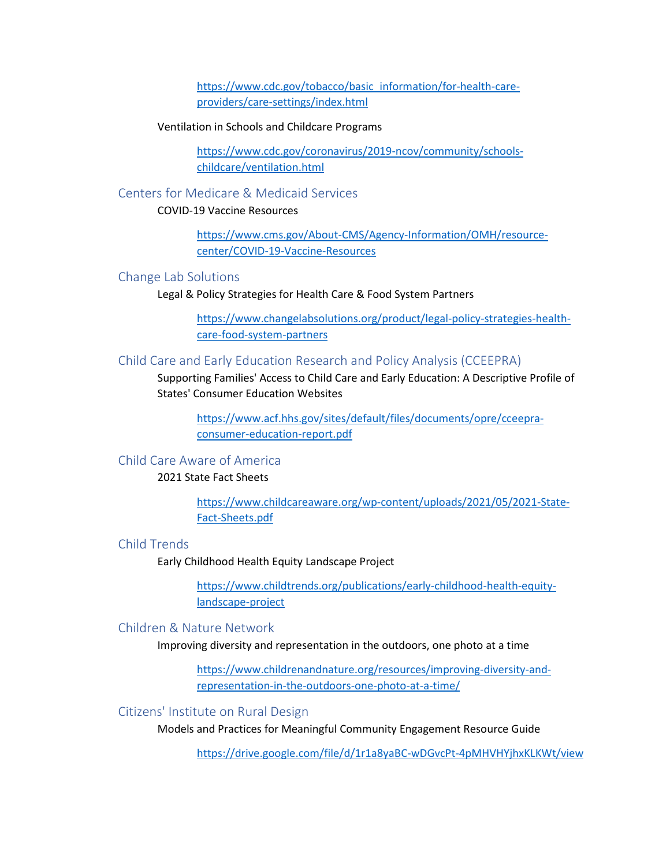[https://www.cdc.gov/tobacco/basic\\_information/for-health-care](https://www.cdc.gov/tobacco/basic_information/for-health-care-providers/care-settings/index.html)[providers/care-settings/index.html](https://www.cdc.gov/tobacco/basic_information/for-health-care-providers/care-settings/index.html)

#### Ventilation in Schools and Childcare Programs

[https://www.cdc.gov/coronavirus/2019-ncov/community/schools](https://www.cdc.gov/coronavirus/2019-ncov/community/schools-childcare/ventilation.html)[childcare/ventilation.html](https://www.cdc.gov/coronavirus/2019-ncov/community/schools-childcare/ventilation.html)

### Centers for Medicare & Medicaid Services

### COVID-19 Vaccine Resources

[https://www.cms.gov/About-CMS/Agency-Information/OMH/resource](https://www.cms.gov/About-CMS/Agency-Information/OMH/resource-center/COVID-19-Vaccine-Resources)[center/COVID-19-Vaccine-Resources](https://www.cms.gov/About-CMS/Agency-Information/OMH/resource-center/COVID-19-Vaccine-Resources)

#### Change Lab Solutions

Legal & Policy Strategies for Health Care & Food System Partners

[https://www.changelabsolutions.org/product/legal-policy-strategies-health](https://www.changelabsolutions.org/product/legal-policy-strategies-health-care-food-system-partners)[care-food-system-partners](https://www.changelabsolutions.org/product/legal-policy-strategies-health-care-food-system-partners)

### Child Care and Early Education Research and Policy Analysis (CCEEPRA)

Supporting Families' Access to Child Care and Early Education: A Descriptive Profile of States' Consumer Education Websites

[https://www.acf.hhs.gov/sites/default/files/documents/opre/cceepra](https://www.acf.hhs.gov/sites/default/files/documents/opre/cceepra-consumer-education-report.pdf)[consumer-education-report.pdf](https://www.acf.hhs.gov/sites/default/files/documents/opre/cceepra-consumer-education-report.pdf)

### Child Care Aware of America

### 2021 State Fact Sheets

[https://www.childcareaware.org/wp-content/uploads/2021/05/2021-State-](https://www.childcareaware.org/wp-content/uploads/2021/05/2021-State-Fact-Sheets.pdf)[Fact-Sheets.pdf](https://www.childcareaware.org/wp-content/uploads/2021/05/2021-State-Fact-Sheets.pdf)

# Child Trends

Early Childhood Health Equity Landscape Project

[https://www.childtrends.org/publications/early-childhood-health-equity](https://www.childtrends.org/publications/early-childhood-health-equity-landscape-project)[landscape-project](https://www.childtrends.org/publications/early-childhood-health-equity-landscape-project)

## Children & Nature Network

Improving diversity and representation in the outdoors, one photo at a time

[https://www.childrenandnature.org/resources/improving-diversity-and](https://www.childrenandnature.org/resources/improving-diversity-and-representation-in-the-outdoors-one-photo-at-a-time/)[representation-in-the-outdoors-one-photo-at-a-time/](https://www.childrenandnature.org/resources/improving-diversity-and-representation-in-the-outdoors-one-photo-at-a-time/)

#### Citizens' Institute on Rural Design

Models and Practices for Meaningful Community Engagement Resource Guide

<https://drive.google.com/file/d/1r1a8yaBC-wDGvcPt-4pMHVHYjhxKLKWt/view>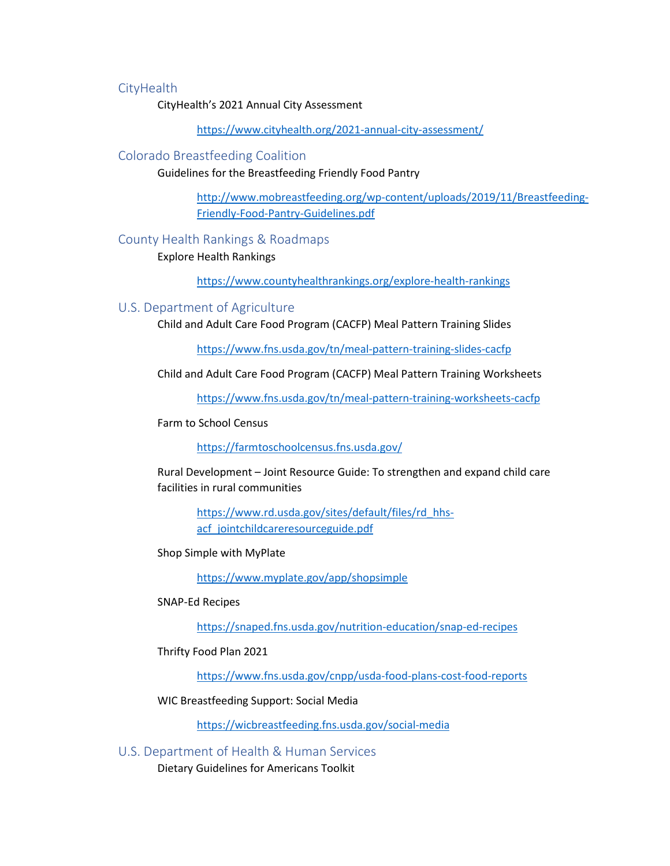### **CityHealth**

CityHealth's 2021 Annual City Assessment

<https://www.cityhealth.org/2021-annual-city-assessment/>

#### Colorado Breastfeeding Coalition

Guidelines for the Breastfeeding Friendly Food Pantry

[http://www.mobreastfeeding.org/wp-content/uploads/2019/11/Breastfeeding-](http://www.mobreastfeeding.org/wp-content/uploads/2019/11/Breastfeeding-Friendly-Food-Pantry-Guidelines.pdf)[Friendly-Food-Pantry-Guidelines.pdf](http://www.mobreastfeeding.org/wp-content/uploads/2019/11/Breastfeeding-Friendly-Food-Pantry-Guidelines.pdf)

#### County Health Rankings & Roadmaps

Explore Health Rankings

<https://www.countyhealthrankings.org/explore-health-rankings>

#### U.S. Department of Agriculture

Child and Adult Care Food Program (CACFP) Meal Pattern Training Slides

<https://www.fns.usda.gov/tn/meal-pattern-training-slides-cacfp>

Child and Adult Care Food Program (CACFP) Meal Pattern Training Worksheets

<https://www.fns.usda.gov/tn/meal-pattern-training-worksheets-cacfp>

Farm to School Census

<https://farmtoschoolcensus.fns.usda.gov/>

Rural Development – Joint Resource Guide: To strengthen and expand child care facilities in rural communities

> [https://www.rd.usda.gov/sites/default/files/rd\\_hhs](https://www.rd.usda.gov/sites/default/files/rd_hhs-acf_jointchildcareresourceguide.pdf)[acf\\_jointchildcareresourceguide.pdf](https://www.rd.usda.gov/sites/default/files/rd_hhs-acf_jointchildcareresourceguide.pdf)

Shop Simple with MyPlate

<https://www.myplate.gov/app/shopsimple>

SNAP-Ed Recipes

<https://snaped.fns.usda.gov/nutrition-education/snap-ed-recipes>

Thrifty Food Plan 2021

<https://www.fns.usda.gov/cnpp/usda-food-plans-cost-food-reports>

WIC Breastfeeding Support: Social Media

<https://wicbreastfeeding.fns.usda.gov/social-media>

U.S. Department of Health & Human Services

Dietary Guidelines for Americans Toolkit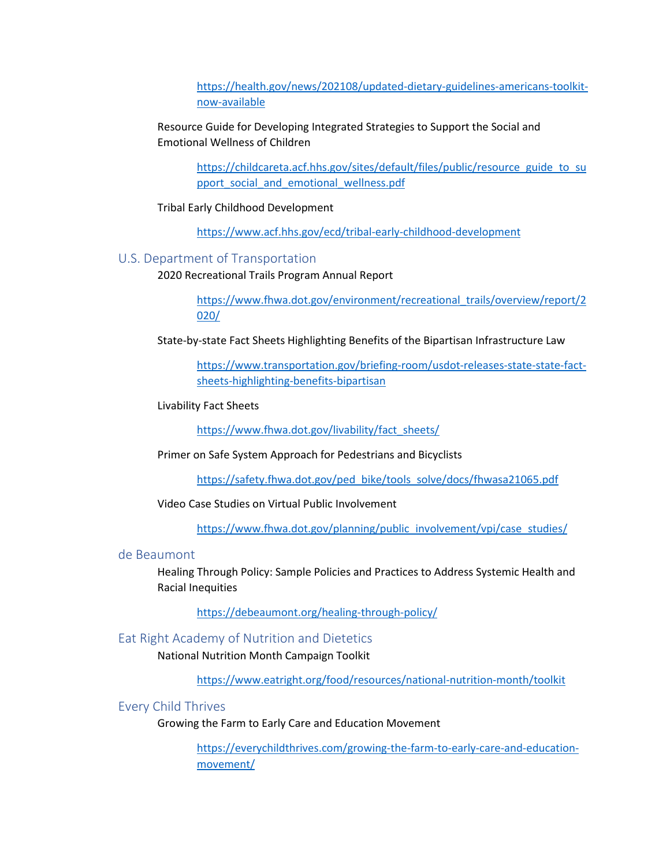[https://health.gov/news/202108/updated-dietary-guidelines-americans-toolkit](https://health.gov/news/202108/updated-dietary-guidelines-americans-toolkit-now-available)[now-available](https://health.gov/news/202108/updated-dietary-guidelines-americans-toolkit-now-available)

Resource Guide for Developing Integrated Strategies to Support the Social and Emotional Wellness of Children

> [https://childcareta.acf.hhs.gov/sites/default/files/public/resource\\_guide\\_to\\_su](https://childcareta.acf.hhs.gov/sites/default/files/public/resource_guide_to_support_social_and_emotional_wellness.pdf) [pport\\_social\\_and\\_emotional\\_wellness.pdf](https://childcareta.acf.hhs.gov/sites/default/files/public/resource_guide_to_support_social_and_emotional_wellness.pdf)

Tribal Early Childhood Development

<https://www.acf.hhs.gov/ecd/tribal-early-childhood-development>

#### U.S. Department of Transportation

2020 Recreational Trails Program Annual Report

[https://www.fhwa.dot.gov/environment/recreational\\_trails/overview/report/2](https://www.fhwa.dot.gov/environment/recreational_trails/overview/report/2020/) [020/](https://www.fhwa.dot.gov/environment/recreational_trails/overview/report/2020/)

State-by-state Fact Sheets Highlighting Benefits of the Bipartisan Infrastructure Law

[https://www.transportation.gov/briefing-room/usdot-releases-state-state-fact](https://www.transportation.gov/briefing-room/usdot-releases-state-state-fact-sheets-highlighting-benefits-bipartisan)[sheets-highlighting-benefits-bipartisan](https://www.transportation.gov/briefing-room/usdot-releases-state-state-fact-sheets-highlighting-benefits-bipartisan)

Livability Fact Sheets

[https://www.fhwa.dot.gov/livability/fact\\_sheets/](https://www.fhwa.dot.gov/livability/fact_sheets/)

Primer on Safe System Approach for Pedestrians and Bicyclists

[https://safety.fhwa.dot.gov/ped\\_bike/tools\\_solve/docs/fhwasa21065.pdf](https://safety.fhwa.dot.gov/ped_bike/tools_solve/docs/fhwasa21065.pdf)

Video Case Studies on Virtual Public Involvement

[https://www.fhwa.dot.gov/planning/public\\_involvement/vpi/case\\_studies/](https://www.fhwa.dot.gov/planning/public_involvement/vpi/case_studies/)

### de Beaumont

Healing Through Policy: Sample Policies and Practices to Address Systemic Health and Racial Inequities

<https://debeaumont.org/healing-through-policy/>

### Eat Right Academy of Nutrition and Dietetics

National Nutrition Month Campaign Toolkit

<https://www.eatright.org/food/resources/national-nutrition-month/toolkit>

#### Every Child Thrives

Growing the Farm to Early Care and Education Movement

[https://everychildthrives.com/growing-the-farm-to-early-care-and-education](https://everychildthrives.com/growing-the-farm-to-early-care-and-education-movement/)[movement/](https://everychildthrives.com/growing-the-farm-to-early-care-and-education-movement/)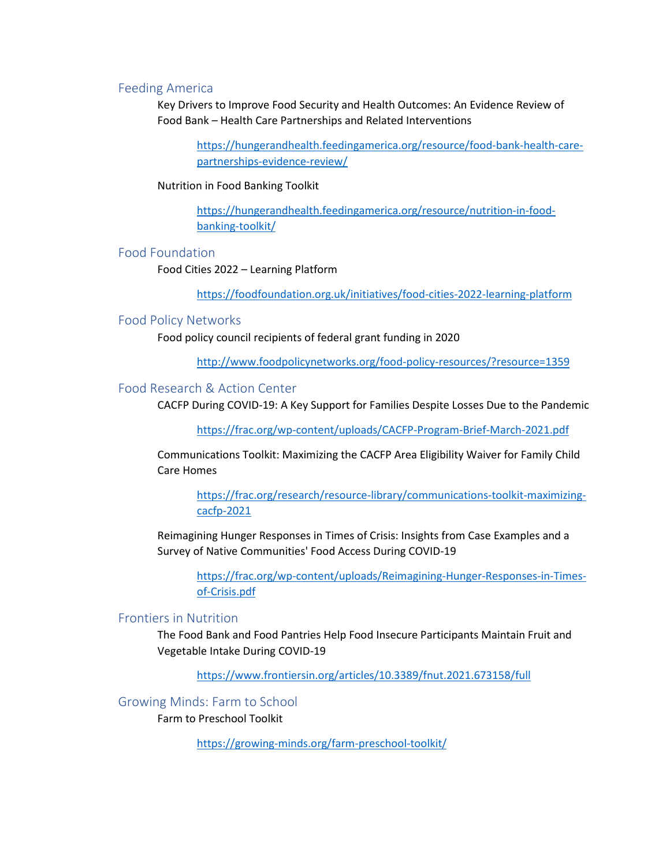### Feeding America

Key Drivers to Improve Food Security and Health Outcomes: An Evidence Review of Food Bank – Health Care Partnerships and Related Interventions

[https://hungerandhealth.feedingamerica.org/resource/food-bank-health-care](https://hungerandhealth.feedingamerica.org/resource/food-bank-health-care-partnerships-evidence-review/)[partnerships-evidence-review/](https://hungerandhealth.feedingamerica.org/resource/food-bank-health-care-partnerships-evidence-review/)

#### Nutrition in Food Banking Toolkit

[https://hungerandhealth.feedingamerica.org/resource/nutrition-in-food](https://hungerandhealth.feedingamerica.org/resource/nutrition-in-food-banking-toolkit/)[banking-toolkit/](https://hungerandhealth.feedingamerica.org/resource/nutrition-in-food-banking-toolkit/)

### Food Foundation

Food Cities 2022 – Learning Platform

<https://foodfoundation.org.uk/initiatives/food-cities-2022-learning-platform>

#### Food Policy Networks

Food policy council recipients of federal grant funding in 2020

<http://www.foodpolicynetworks.org/food-policy-resources/?resource=1359>

### Food Research & Action Center

CACFP During COVID-19: A Key Support for Families Despite Losses Due to the Pandemic

<https://frac.org/wp-content/uploads/CACFP-Program-Brief-March-2021.pdf>

Communications Toolkit: Maximizing the CACFP Area Eligibility Waiver for Family Child Care Homes

[https://frac.org/research/resource-library/communications-toolkit-maximizing](https://frac.org/research/resource-library/communications-toolkit-maximizing-cacfp-2021)[cacfp-2021](https://frac.org/research/resource-library/communications-toolkit-maximizing-cacfp-2021)

Reimagining Hunger Responses in Times of Crisis: Insights from Case Examples and a Survey of Native Communities' Food Access During COVID-19

[https://frac.org/wp-content/uploads/Reimagining-Hunger-Responses-in-Times](https://frac.org/wp-content/uploads/Reimagining-Hunger-Responses-in-Times-of-Crisis.pdf)[of-Crisis.pdf](https://frac.org/wp-content/uploads/Reimagining-Hunger-Responses-in-Times-of-Crisis.pdf)

#### Frontiers in Nutrition

The Food Bank and Food Pantries Help Food Insecure Participants Maintain Fruit and Vegetable Intake During COVID-19

<https://www.frontiersin.org/articles/10.3389/fnut.2021.673158/full>

Growing Minds: Farm to School

Farm to Preschool Toolkit

<https://growing-minds.org/farm-preschool-toolkit/>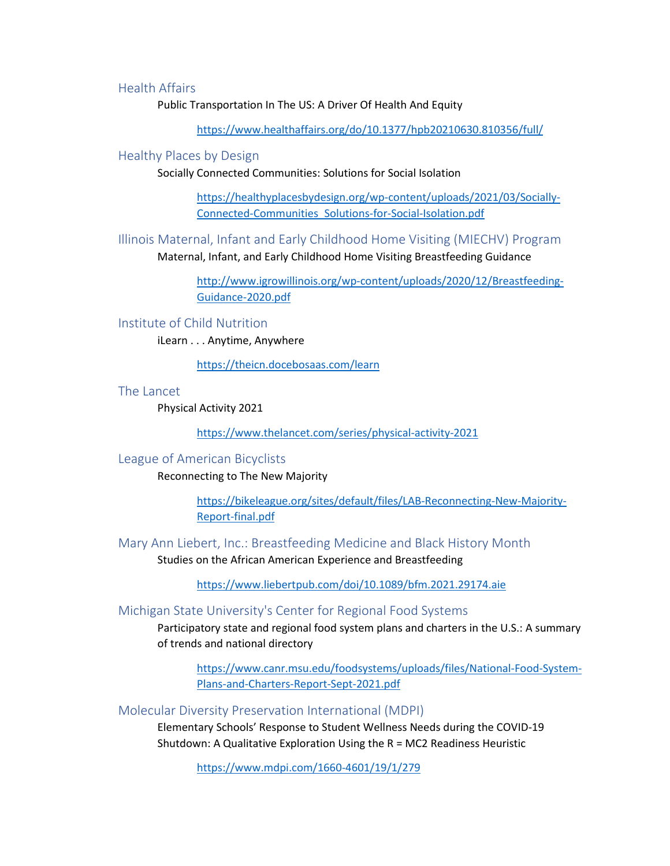# Health Affairs

Public Transportation In The US: A Driver Of Health And Equity

<https://www.healthaffairs.org/do/10.1377/hpb20210630.810356/full/>

#### Healthy Places by Design

Socially Connected Communities: Solutions for Social Isolation

[https://healthyplacesbydesign.org/wp-content/uploads/2021/03/Socially-](https://healthyplacesbydesign.org/wp-content/uploads/2021/03/Socially-Connected-Communities_Solutions-for-Social-Isolation.pdf)[Connected-Communities\\_Solutions-for-Social-Isolation.pdf](https://healthyplacesbydesign.org/wp-content/uploads/2021/03/Socially-Connected-Communities_Solutions-for-Social-Isolation.pdf)

Illinois Maternal, Infant and Early Childhood Home Visiting (MIECHV) Program Maternal, Infant, and Early Childhood Home Visiting Breastfeeding Guidance

> [http://www.igrowillinois.org/wp-content/uploads/2020/12/Breastfeeding-](http://www.igrowillinois.org/wp-content/uploads/2020/12/Breastfeeding-Guidance-2020.pdf)[Guidance-2020.pdf](http://www.igrowillinois.org/wp-content/uploads/2020/12/Breastfeeding-Guidance-2020.pdf)

#### Institute of Child Nutrition

iLearn . . . Anytime, Anywhere

<https://theicn.docebosaas.com/learn>

#### The Lancet

Physical Activity 2021

<https://www.thelancet.com/series/physical-activity-2021>

### League of American Bicyclists

Reconnecting to The New Majority

[https://bikeleague.org/sites/default/files/LAB-Reconnecting-New-Majority-](https://bikeleague.org/sites/default/files/LAB-Reconnecting-New-Majority-Report-final.pdf)[Report-final.pdf](https://bikeleague.org/sites/default/files/LAB-Reconnecting-New-Majority-Report-final.pdf)

Mary Ann Liebert, Inc.: Breastfeeding Medicine and Black History Month

Studies on the African American Experience and Breastfeeding

<https://www.liebertpub.com/doi/10.1089/bfm.2021.29174.aie>

#### Michigan State University's Center for Regional Food Systems

Participatory state and regional food system plans and charters in the U.S.: A summary of trends and national directory

[https://www.canr.msu.edu/foodsystems/uploads/files/National-Food-System-](https://www.canr.msu.edu/foodsystems/uploads/files/National-Food-System-Plans-and-Charters-Report-Sept-2021.pdf)[Plans-and-Charters-Report-Sept-2021.pdf](https://www.canr.msu.edu/foodsystems/uploads/files/National-Food-System-Plans-and-Charters-Report-Sept-2021.pdf)

Molecular Diversity Preservation International (MDPI)

Elementary Schools' Response to Student Wellness Needs during the COVID-19 Shutdown: A Qualitative Exploration Using the R = MC2 Readiness Heuristic

<https://www.mdpi.com/1660-4601/19/1/279>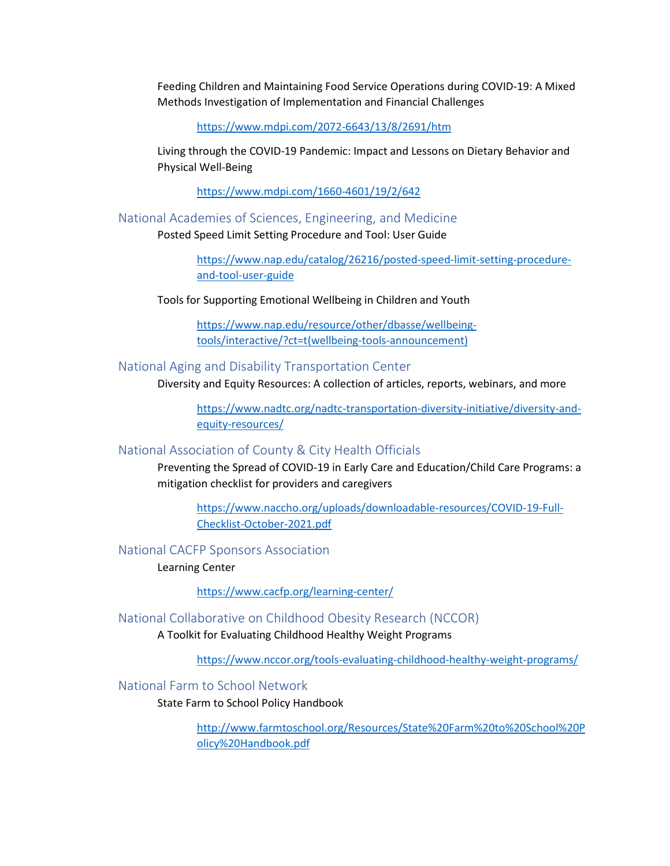Feeding Children and Maintaining Food Service Operations during COVID-19: A Mixed Methods Investigation of Implementation and Financial Challenges

<https://www.mdpi.com/2072-6643/13/8/2691/htm>

Living through the COVID-19 Pandemic: Impact and Lessons on Dietary Behavior and Physical Well-Being

<https://www.mdpi.com/1660-4601/19/2/642>

National Academies of Sciences, Engineering, and Medicine

Posted Speed Limit Setting Procedure and Tool: User Guide

[https://www.nap.edu/catalog/26216/posted-speed-limit-setting-procedure](https://www.nap.edu/catalog/26216/posted-speed-limit-setting-procedure-and-tool-user-guide)[and-tool-user-guide](https://www.nap.edu/catalog/26216/posted-speed-limit-setting-procedure-and-tool-user-guide)

Tools for Supporting Emotional Wellbeing in Children and Youth

[https://www.nap.edu/resource/other/dbasse/wellbeing](https://www.nap.edu/resource/other/dbasse/wellbeing-tools/interactive/?ct=t(wellbeing-tools-announcement))[tools/interactive/?ct=t\(wellbeing-tools-announcement\)](https://www.nap.edu/resource/other/dbasse/wellbeing-tools/interactive/?ct=t(wellbeing-tools-announcement))

### National Aging and Disability Transportation Center

Diversity and Equity Resources: A collection of articles, reports, webinars, and more

[https://www.nadtc.org/nadtc-transportation-diversity-initiative/diversity-and](https://www.nadtc.org/nadtc-transportation-diversity-initiative/diversity-and-equity-resources/)[equity-resources/](https://www.nadtc.org/nadtc-transportation-diversity-initiative/diversity-and-equity-resources/)

#### National Association of County & City Health Officials

Preventing the Spread of COVID-19 in Early Care and Education/Child Care Programs: a mitigation checklist for providers and caregivers

[https://www.naccho.org/uploads/downloadable-resources/COVID-19-Full-](https://www.naccho.org/uploads/downloadable-resources/COVID-19-Full-Checklist-October-2021.pdf)[Checklist-October-2021.pdf](https://www.naccho.org/uploads/downloadable-resources/COVID-19-Full-Checklist-October-2021.pdf)

National CACFP Sponsors Association

Learning Center

<https://www.cacfp.org/learning-center/>

#### National Collaborative on Childhood Obesity Research (NCCOR)

A Toolkit for Evaluating Childhood Healthy Weight Programs

<https://www.nccor.org/tools-evaluating-childhood-healthy-weight-programs/>

National Farm to School Network

State Farm to School Policy Handbook

[http://www.farmtoschool.org/Resources/State%20Farm%20to%20School%20P](http://www.farmtoschool.org/Resources/State%20Farm%20to%20School%20Policy%20Handbook.pdf) [olicy%20Handbook.pdf](http://www.farmtoschool.org/Resources/State%20Farm%20to%20School%20Policy%20Handbook.pdf)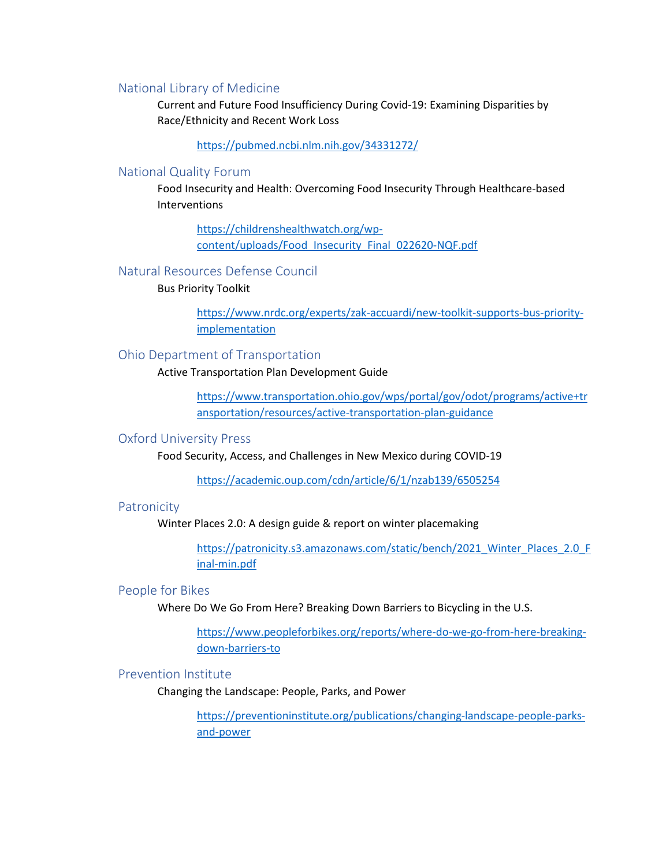#### National Library of Medicine

Current and Future Food Insufficiency During Covid-19: Examining Disparities by Race/Ethnicity and Recent Work Loss

<https://pubmed.ncbi.nlm.nih.gov/34331272/>

#### National Quality Forum

Food Insecurity and Health: Overcoming Food Insecurity Through Healthcare-based Interventions

[https://childrenshealthwatch.org/wp](https://childrenshealthwatch.org/wp-content/uploads/Food_Insecurity_Final_022620-NQF.pdf)[content/uploads/Food\\_Insecurity\\_Final\\_022620-NQF.pdf](https://childrenshealthwatch.org/wp-content/uploads/Food_Insecurity_Final_022620-NQF.pdf)

### Natural Resources Defense Council

### Bus Priority Toolkit

[https://www.nrdc.org/experts/zak-accuardi/new-toolkit-supports-bus-priority](https://www.nrdc.org/experts/zak-accuardi/new-toolkit-supports-bus-priority-implementation)[implementation](https://www.nrdc.org/experts/zak-accuardi/new-toolkit-supports-bus-priority-implementation)

### Ohio Department of Transportation

Active Transportation Plan Development Guide

[https://www.transportation.ohio.gov/wps/portal/gov/odot/programs/active+tr](https://www.transportation.ohio.gov/wps/portal/gov/odot/programs/active+transportation/resources/active-transportation-plan-guidance) [ansportation/resources/active-transportation-plan-guidance](https://www.transportation.ohio.gov/wps/portal/gov/odot/programs/active+transportation/resources/active-transportation-plan-guidance)

#### Oxford University Press

Food Security, Access, and Challenges in New Mexico during COVID-19

<https://academic.oup.com/cdn/article/6/1/nzab139/6505254>

### Patronicity

Winter Places 2.0: A design guide & report on winter placemaking

[https://patronicity.s3.amazonaws.com/static/bench/2021\\_Winter\\_Places\\_2.0\\_F](https://patronicity.s3.amazonaws.com/static/bench/2021_Winter_Places_2.0_Final-min.pdf) [inal-min.pdf](https://patronicity.s3.amazonaws.com/static/bench/2021_Winter_Places_2.0_Final-min.pdf)

### People for Bikes

Where Do We Go From Here? Breaking Down Barriers to Bicycling in the U.S.

[https://www.peopleforbikes.org/reports/where-do-we-go-from-here-breaking](https://www.peopleforbikes.org/reports/where-do-we-go-from-here-breaking-down-barriers-to)[down-barriers-to](https://www.peopleforbikes.org/reports/where-do-we-go-from-here-breaking-down-barriers-to)

### Prevention Institute

Changing the Landscape: People, Parks, and Power

[https://preventioninstitute.org/publications/changing-landscape-people-parks](https://preventioninstitute.org/publications/changing-landscape-people-parks-and-power)[and-power](https://preventioninstitute.org/publications/changing-landscape-people-parks-and-power)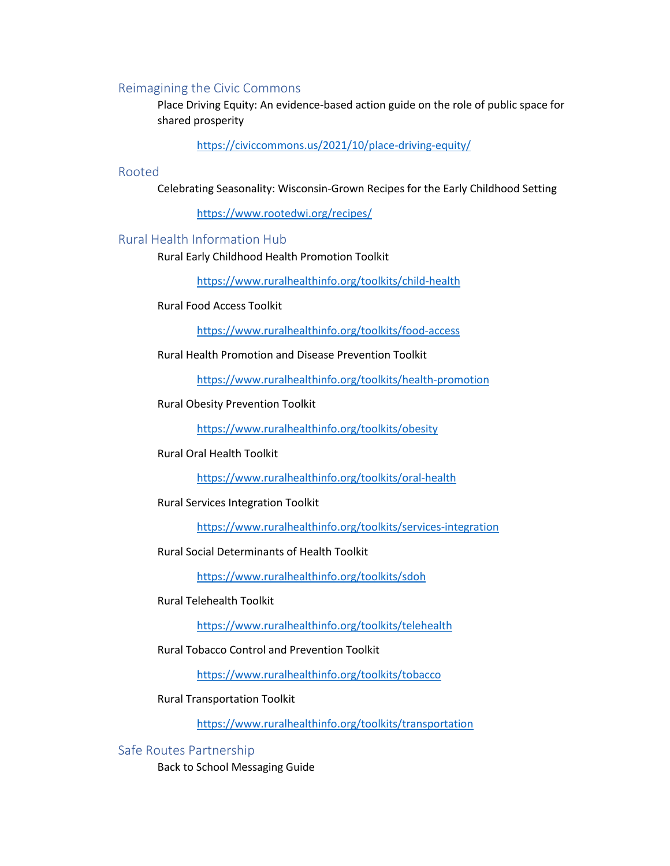### Reimagining the Civic Commons

Place Driving Equity: An evidence-based action guide on the role of public space for shared prosperity

<https://civiccommons.us/2021/10/place-driving-equity/>

#### Rooted

Celebrating Seasonality: Wisconsin-Grown Recipes for the Early Childhood Setting

<https://www.rootedwi.org/recipes/>

### Rural Health Information Hub

Rural Early Childhood Health Promotion Toolkit

<https://www.ruralhealthinfo.org/toolkits/child-health>

Rural Food Access Toolkit

<https://www.ruralhealthinfo.org/toolkits/food-access>

Rural Health Promotion and Disease Prevention Toolkit

<https://www.ruralhealthinfo.org/toolkits/health-promotion>

Rural Obesity Prevention Toolkit

<https://www.ruralhealthinfo.org/toolkits/obesity>

#### Rural Oral Health Toolkit

<https://www.ruralhealthinfo.org/toolkits/oral-health>

Rural Services Integration Toolkit

<https://www.ruralhealthinfo.org/toolkits/services-integration>

Rural Social Determinants of Health Toolkit

<https://www.ruralhealthinfo.org/toolkits/sdoh>

### Rural Telehealth Toolkit

<https://www.ruralhealthinfo.org/toolkits/telehealth>

### Rural Tobacco Control and Prevention Toolkit

<https://www.ruralhealthinfo.org/toolkits/tobacco>

Rural Transportation Toolkit

<https://www.ruralhealthinfo.org/toolkits/transportation>

#### Safe Routes Partnership

Back to School Messaging Guide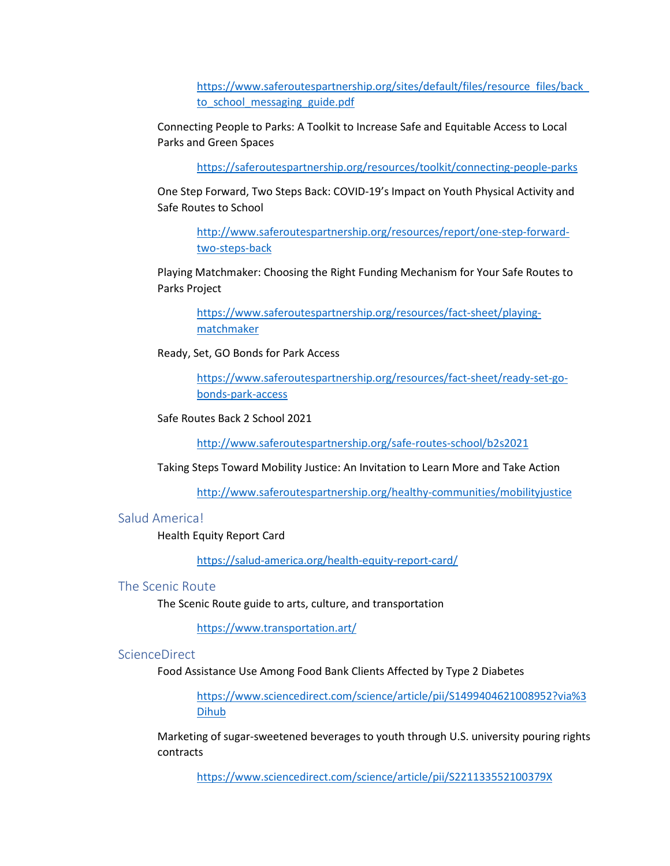[https://www.saferoutespartnership.org/sites/default/files/resource\\_files/back\\_](https://www.saferoutespartnership.org/sites/default/files/resource_files/back_to_school_messaging_guide.pdf) to school messaging guide.pdf

Connecting People to Parks: A Toolkit to Increase Safe and Equitable Access to Local Parks and Green Spaces

<https://saferoutespartnership.org/resources/toolkit/connecting-people-parks>

One Step Forward, Two Steps Back: COVID-19's Impact on Youth Physical Activity and Safe Routes to School

[http://www.saferoutespartnership.org/resources/report/one-step-forward](http://www.saferoutespartnership.org/resources/report/one-step-forward-two-steps-back)[two-steps-back](http://www.saferoutespartnership.org/resources/report/one-step-forward-two-steps-back)

Playing Matchmaker: Choosing the Right Funding Mechanism for Your Safe Routes to Parks Project

[https://www.saferoutespartnership.org/resources/fact-sheet/playing](https://www.saferoutespartnership.org/resources/fact-sheet/playing-matchmaker)[matchmaker](https://www.saferoutespartnership.org/resources/fact-sheet/playing-matchmaker)

Ready, Set, GO Bonds for Park Access

[https://www.saferoutespartnership.org/resources/fact-sheet/ready-set-go](https://www.saferoutespartnership.org/resources/fact-sheet/ready-set-go-bonds-park-access)[bonds-park-access](https://www.saferoutespartnership.org/resources/fact-sheet/ready-set-go-bonds-park-access)

Safe Routes Back 2 School 2021

<http://www.saferoutespartnership.org/safe-routes-school/b2s2021>

Taking Steps Toward Mobility Justice: An Invitation to Learn More and Take Action

<http://www.saferoutespartnership.org/healthy-communities/mobilityjustice>

### Salud America!

Health Equity Report Card

<https://salud-america.org/health-equity-report-card/>

### The Scenic Route

The Scenic Route guide to arts, culture, and transportation

<https://www.transportation.art/>

### **ScienceDirect**

Food Assistance Use Among Food Bank Clients Affected by Type 2 Diabetes

[https://www.sciencedirect.com/science/article/pii/S1499404621008952?via%3](https://www.sciencedirect.com/science/article/pii/S1499404621008952?via%3Dihub) [Dihub](https://www.sciencedirect.com/science/article/pii/S1499404621008952?via%3Dihub)

Marketing of sugar-sweetened beverages to youth through U.S. university pouring rights contracts

<https://www.sciencedirect.com/science/article/pii/S221133552100379X>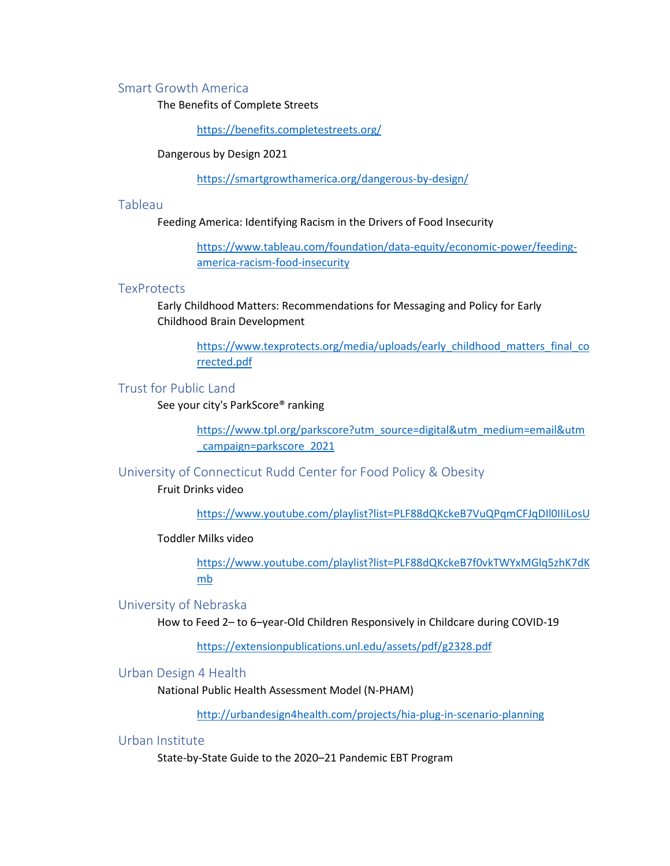#### Smart Growth America

The Benefits of Complete Streets

<https://benefits.completestreets.org/>

Dangerous by Design 2021

<https://smartgrowthamerica.org/dangerous-by-design/>

#### Tableau

Feeding America: Identifying Racism in the Drivers of Food Insecurity

[https://www.tableau.com/foundation/data-equity/economic-power/feeding](https://www.tableau.com/foundation/data-equity/economic-power/feeding-america-racism-food-insecurity)[america-racism-food-insecurity](https://www.tableau.com/foundation/data-equity/economic-power/feeding-america-racism-food-insecurity)

### **TexProtects**

Early Childhood Matters: Recommendations for Messaging and Policy for Early Childhood Brain Development

[https://www.texprotects.org/media/uploads/early\\_childhood\\_matters\\_final\\_co](https://www.texprotects.org/media/uploads/early_childhood_matters_final_corrected.pdf) [rrected.pdf](https://www.texprotects.org/media/uploads/early_childhood_matters_final_corrected.pdf)

### Trust for Public Land

See your city's ParkScore® ranking

[https://www.tpl.org/parkscore?utm\\_source=digital&utm\\_medium=email&utm](https://www.tpl.org/parkscore?utm_source=digital&utm_medium=email&utm_campaign=parkscore_2021) [\\_campaign=parkscore\\_2021](https://www.tpl.org/parkscore?utm_source=digital&utm_medium=email&utm_campaign=parkscore_2021)

University of Connecticut Rudd Center for Food Policy & Obesity

Fruit Drinks video

<https://www.youtube.com/playlist?list=PLF88dQKckeB7VuQPqmCFJqDIl0IIiLosU>

### Toddler Milks video

[https://www.youtube.com/playlist?list=PLF88dQKckeB7f0vkTWYxMGlq5zhK7dK](https://www.youtube.com/playlist?list=PLF88dQKckeB7f0vkTWYxMGlq5zhK7dKmb) [mb](https://www.youtube.com/playlist?list=PLF88dQKckeB7f0vkTWYxMGlq5zhK7dKmb)

### University of Nebraska

How to Feed 2– to 6–year-Old Children Responsively in Childcare during COVID-19

<https://extensionpublications.unl.edu/assets/pdf/g2328.pdf>

Urban Design 4 Health

National Public Health Assessment Model (N-PHAM)

<http://urbandesign4health.com/projects/hia-plug-in-scenario-planning>

### Urban Institute

State-by-State Guide to the 2020–21 Pandemic EBT Program